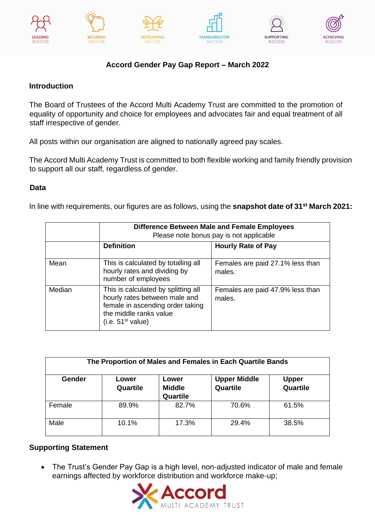











# **Accord Gender Pay Gap Report – March 2022**

## **Introduction**

The Board of Trustees of the Accord Multi Academy Trust are committed to the promotion of equality of opportunity and choice for employees and advocates fair and equal treatment of all staff irrespective of gender.

All posts within our organisation are aligned to nationally agreed pay scales.

The Accord Multi Academy Trust is committed to both flexible working and family friendly provision to support all our staff, regardless of gender.

## **Data**

In line with requirements, our figures are as follows, using the **snapshot date of 31st March 2021:** 

|        | Difference Between Male and Female Employees<br>Please note bonus pay is not applicable                                                                             |                                            |  |  |  |  |  |  |  |  |
|--------|---------------------------------------------------------------------------------------------------------------------------------------------------------------------|--------------------------------------------|--|--|--|--|--|--|--|--|
|        | <b>Definition</b>                                                                                                                                                   | <b>Hourly Rate of Pay</b>                  |  |  |  |  |  |  |  |  |
| Mean   | This is calculated by totalling all<br>hourly rates and dividing by<br>number of employees                                                                          | Females are paid 27.1% less than<br>males. |  |  |  |  |  |  |  |  |
| Median | This is calculated by splitting all<br>hourly rates between male and<br>female in ascending order taking<br>the middle ranks value<br>(i.e. 51 <sup>st</sup> value) | Females are paid 47.9% less than<br>males. |  |  |  |  |  |  |  |  |

| The Proportion of Males and Females in Each Quartile Bands |                   |                                    |                                 |                          |  |  |  |  |  |  |  |
|------------------------------------------------------------|-------------------|------------------------------------|---------------------------------|--------------------------|--|--|--|--|--|--|--|
| Gender                                                     | Lower<br>Quartile | Lower<br><b>Middle</b><br>Quartile | <b>Upper Middle</b><br>Quartile | <b>Upper</b><br>Quartile |  |  |  |  |  |  |  |
| Female                                                     | 89.9%             | 82.7%                              | 70.6%                           | 61.5%                    |  |  |  |  |  |  |  |
| Male                                                       | 10.1%             | 17.3%                              | 29.4%                           | 38.5%                    |  |  |  |  |  |  |  |

### **Supporting Statement**

• The Trust's Gender Pay Gap is a high level, non-adjusted indicator of male and female earnings affected by workforce distribution and workforce make-up;

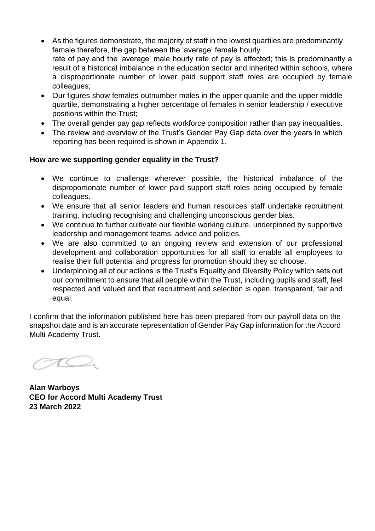- As the figures demonstrate, the majority of staff in the lowest quartiles are predominantly female therefore, the gap between the 'average' female hourly rate of pay and the 'average' male hourly rate of pay is affected; this is predominantly a result of a historical imbalance in the education sector and inherited within schools, where a disproportionate number of lower paid support staff roles are occupied by female colleagues;
- Our figures show females outnumber males in the upper quartile and the upper middle quartile, demonstrating a higher percentage of females in senior leadership / executive positions within the Trust;
- The overall gender pay gap reflects workforce composition rather than pay inequalities.
- The review and overview of the Trust's Gender Pay Gap data over the years in which reporting has been required is shown in Appendix 1.

#### **How are we supporting gender equality in the Trust?**

- We continue to challenge wherever possible, the historical imbalance of the disproportionate number of lower paid support staff roles being occupied by female colleagues.
- We ensure that all senior leaders and human resources staff undertake recruitment training, including recognising and challenging unconscious gender bias.
- We continue to further cultivate our flexible working culture, underpinned by supportive leadership and management teams, advice and policies.
- We are also committed to an ongoing review and extension of our professional development and collaboration opportunities for all staff to enable all employees to realise their full potential and progress for promotion should they so choose.
- Underpinning all of our actions is the Trust's Equality and Diversity Policy which sets out our commitment to ensure that all people within the Trust, including pupils and staff, feel respected and valued and that recruitment and selection is open, transparent, fair and equal.

I confirm that the information published here has been prepared from our payroll data on the snapshot date and is an accurate representation of Gender Pay Gap information for the Accord Multi Academy Trust.

**Alan Warboys CEO for Accord Multi Academy Trust 23 March 2022**